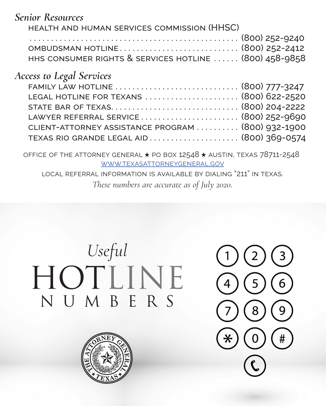*Senior Resources*

| HEALTH AND HUMAN SERVICES COMMISSION (HHSC)            |
|--------------------------------------------------------|
|                                                        |
|                                                        |
| HHS CONSUMER RIGHTS & SERVICES HOTLINE  (800) 458-9858 |

## *Access to Legal Services*

| FAMILY LAW HOTLINE  (800) 777-3247                 |  |
|----------------------------------------------------|--|
| LEGAL HOTLINE FOR TEXANS  (800) 622-2520           |  |
|                                                    |  |
| LAWYER REFERRAL SERVICE  (800) 252-9690            |  |
| CLIENT-ATTORNEY ASSISTANCE PROGRAM  (800) 932-1900 |  |
| TEXAS RIO GRANDE LEGAL AID (800) 369-0574          |  |
|                                                    |  |

office of the attorney general ★ po box 12548 ★ austin, texas 78711-2548 ★ [www.texasattorneygeneral.gov](http://www.texasattorneygeneral.gov)

local referral information is available by dialing "211" in texas.

*These numbers are accurate as of July 2020.*